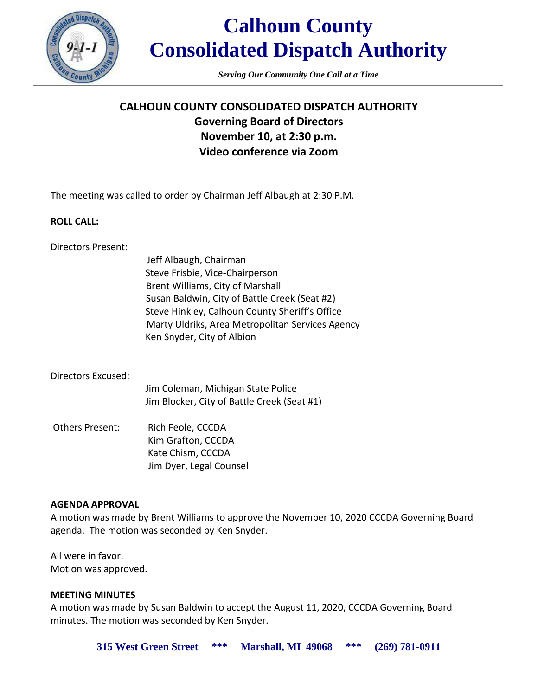

*Serving Our Community One Call at a Time*

# **CALHOUN COUNTY CONSOLIDATED DISPATCH AUTHORITY Governing Board of Directors November 10, at 2:30 p.m. Video conference via Zoom**

The meeting was called to order by Chairman Jeff Albaugh at 2:30 P.M.

#### **ROLL CALL:**

Directors Present:

Jeff Albaugh, Chairman Steve Frisbie, Vice-Chairperson Brent Williams, City of Marshall Susan Baldwin, City of Battle Creek (Seat #2) Steve Hinkley, Calhoun County Sheriff's Office Marty Uldriks, Area Metropolitan Services Agency Ken Snyder, City of Albion

#### Directors Excused:

Jim Coleman, Michigan State Police Jim Blocker, City of Battle Creek (Seat #1)

Others Present: Rich Feole, CCCDA Kim Grafton, CCCDA Kate Chism, CCCDA Jim Dyer, Legal Counsel

## **AGENDA APPROVAL**

A motion was made by Brent Williams to approve the November 10, 2020 CCCDA Governing Board agenda. The motion was seconded by Ken Snyder.

All were in favor. Motion was approved.

## **MEETING MINUTES**

A motion was made by Susan Baldwin to accept the August 11, 2020, CCCDA Governing Board minutes. The motion was seconded by Ken Snyder.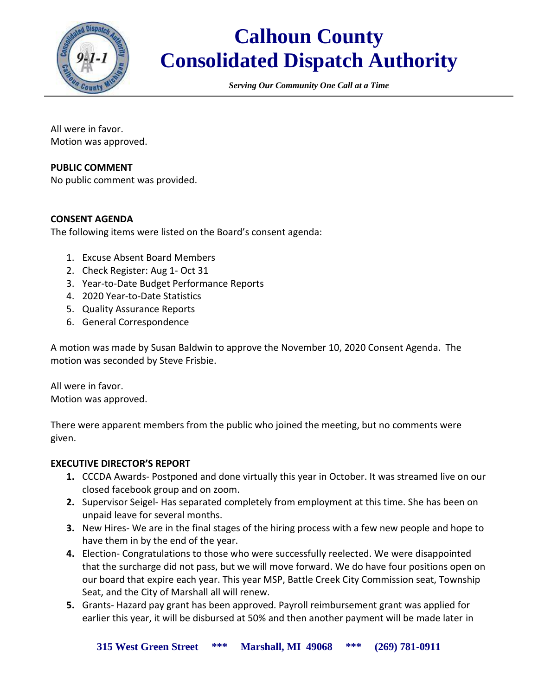

*Serving Our Community One Call at a Time*

All were in favor. Motion was approved.

#### **PUBLIC COMMENT**

No public comment was provided.

#### **CONSENT AGENDA**

The following items were listed on the Board's consent agenda:

- 1. Excuse Absent Board Members
- 2. Check Register: Aug 1- Oct 31
- 3. Year-to-Date Budget Performance Reports
- 4. 2020 Year-to-Date Statistics
- 5. Quality Assurance Reports
- 6. General Correspondence

A motion was made by Susan Baldwin to approve the November 10, 2020 Consent Agenda. The motion was seconded by Steve Frisbie.

All were in favor. Motion was approved.

There were apparent members from the public who joined the meeting, but no comments were given.

#### **EXECUTIVE DIRECTOR'S REPORT**

- **1.** CCCDA Awards- Postponed and done virtually this year in October. It was streamed live on our closed facebook group and on zoom.
- **2.** Supervisor Seigel- Has separated completely from employment at this time. She has been on unpaid leave for several months.
- **3.** New Hires- We are in the final stages of the hiring process with a few new people and hope to have them in by the end of the year.
- **4.** Election- Congratulations to those who were successfully reelected. We were disappointed that the surcharge did not pass, but we will move forward. We do have four positions open on our board that expire each year. This year MSP, Battle Creek City Commission seat, Township Seat, and the City of Marshall all will renew.
- **5.** Grants- Hazard pay grant has been approved. Payroll reimbursement grant was applied for earlier this year, it will be disbursed at 50% and then another payment will be made later in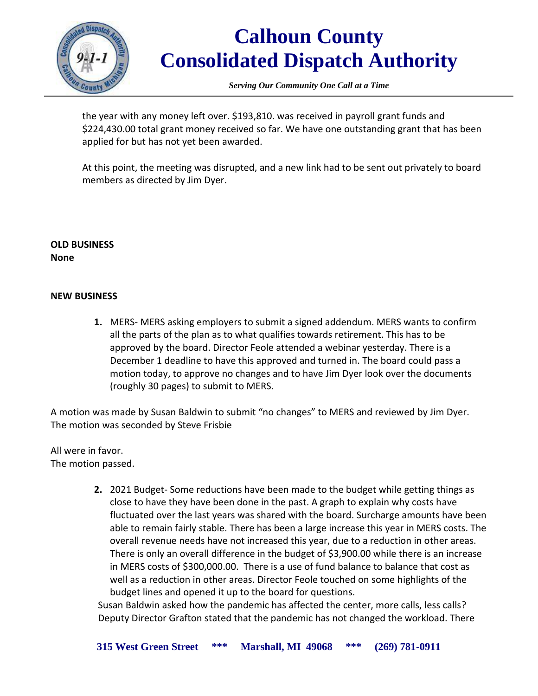

*Serving Our Community One Call at a Time*

the year with any money left over. \$193,810. was received in payroll grant funds and \$224,430.00 total grant money received so far. We have one outstanding grant that has been applied for but has not yet been awarded.

At this point, the meeting was disrupted, and a new link had to be sent out privately to board members as directed by Jim Dyer.

### **OLD BUSINESS None**

## **NEW BUSINESS**

**1.** MERS- MERS asking employers to submit a signed addendum. MERS wants to confirm all the parts of the plan as to what qualifies towards retirement. This has to be approved by the board. Director Feole attended a webinar yesterday. There is a December 1 deadline to have this approved and turned in. The board could pass a motion today, to approve no changes and to have Jim Dyer look over the documents (roughly 30 pages) to submit to MERS.

A motion was made by Susan Baldwin to submit "no changes" to MERS and reviewed by Jim Dyer. The motion was seconded by Steve Frisbie

All were in favor. The motion passed.

> **2.** 2021 Budget- Some reductions have been made to the budget while getting things as close to have they have been done in the past. A graph to explain why costs have fluctuated over the last years was shared with the board. Surcharge amounts have been able to remain fairly stable. There has been a large increase this year in MERS costs. The overall revenue needs have not increased this year, due to a reduction in other areas. There is only an overall difference in the budget of \$3,900.00 while there is an increase in MERS costs of \$300,000.00. There is a use of fund balance to balance that cost as well as a reduction in other areas. Director Feole touched on some highlights of the budget lines and opened it up to the board for questions.

Susan Baldwin asked how the pandemic has affected the center, more calls, less calls? Deputy Director Grafton stated that the pandemic has not changed the workload. There